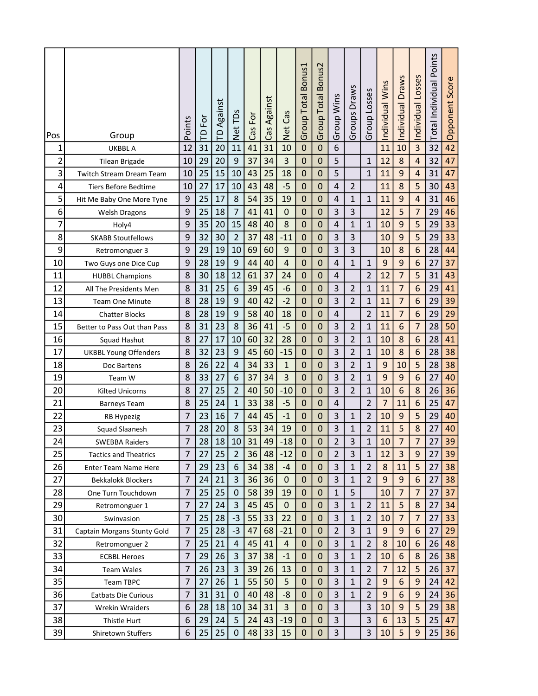| Pos            | Group                           | Points         | Ιò,<br>$\overline{\Gamma}$ | Against<br>$\mathsf{P}$ | Net TDs          | Ēδ<br>Cas | Against<br>Cas | Net Cas        | Group Total Bonus1 | Bonus2<br><b>Group Total</b> | Group Wins              | Draws<br>Groups | Group Losses       | Individual Wins | Individual Draws        | Individual Losses | Points<br>Total Individual | Score<br>Opponent |  |
|----------------|---------------------------------|----------------|----------------------------|-------------------------|------------------|-----------|----------------|----------------|--------------------|------------------------------|-------------------------|-----------------|--------------------|-----------------|-------------------------|-------------------|----------------------------|-------------------|--|
| 1              | <b>UKBBL A</b>                  | 12             | 31                         | 20                      | 11               | 41        | 31             | 10             | $\pmb{0}$          | 0                            | 6                       |                 |                    | 11              | 10                      | $\overline{3}$    | 32                         | 42                |  |
| $\overline{c}$ | Tilean Brigade                  | 10             | 29                         | 20                      | 9                | 37        | 34             | 3              | $\pmb{0}$          | 0                            | 5                       |                 | $\mathbf{1}$       | 12              | 8                       | $\overline{4}$    | 32                         | 47                |  |
| 3              | <b>Twitch Stream Dream Team</b> | 10             | 25                         | 15                      | 10               | 43        | 25             | 18             | $\mathbf 0$        | $\mathbf 0$                  | 5                       |                 | $\mathbf{1}$       | 11              | 9                       | $\overline{4}$    | 31                         | 47                |  |
| 4              | Tiers Before Bedtime            | 10             | 27                         | 17                      | 10               | 43        | 48             | $-5$           | $\mathbf 0$        | 0                            | 4                       | $\overline{2}$  |                    | 11              | 8                       | 5                 | 30                         | 43                |  |
| 5              | Hit Me Baby One More Tyne       | 9              | 25                         | 17                      | 8                | 54        | 35             | 19             | $\pmb{0}$          | 0                            | $\sqrt{4}$              | $\mathbf{1}$    | $\mathbf{1}$       | 11              | 9                       | $\overline{4}$    | 31                         | 46                |  |
| 6              |                                 | 9              | 25                         | 18                      | $\overline{7}$   | 41        | 41             | 0              | $\pmb{0}$          | 0                            | 3                       | 3               |                    | 12              | 5                       | $\overline{7}$    | 29                         | 46                |  |
| 7              | <b>Welsh Dragons</b>            | 9              | 35                         | 20                      | 15               | 48        | 40             |                | $\pmb{0}$          | 0                            | 4                       | $\mathbf{1}$    | $\mathbf{1}$       | 10              | 9                       | 5                 | 29                         | 33                |  |
|                | Holy4                           | 9              | 32                         | 30                      | $\overline{2}$   | 37        | 48             | 8              | $\mathbf 0$        | $\mathbf 0$                  | 3                       | 3               |                    | 10              | 9                       | 5                 | 29                         | 33                |  |
| 8              | <b>SKABB Stoutfellows</b>       |                |                            |                         |                  |           |                | $-11$          |                    |                              |                         |                 |                    |                 |                         |                   |                            |                   |  |
| 9              | Retromonguer 3                  | 9              | 29                         | 19                      | 10               | 69        | 60             | 9              | $\mathbf 0$        | 0                            | 3                       | 3               |                    | 10              | 8                       | 6                 | 28                         | 44                |  |
| 10             | Two Guys one Dice Cup           | 9              | 28                         | 19                      | 9                | 44        | 40             | 4              | $\mathbf 0$        | 0                            | $\overline{4}$          | $\mathbf{1}$    | $\mathbf{1}$       | 9               | 9                       | $6\phantom{1}6$   | 27                         | 37                |  |
| 11             | <b>HUBBL Champions</b>          | 8              | 30                         | 18                      | 12               | 61        | 37             | 24             | $\mathbf 0$        | 0                            | 4                       |                 | $\overline{2}$     | 12              | $\overline{7}$          | 5                 | 31                         | 43                |  |
| 12             | All The Presidents Men          | 8              | 31                         | 25                      | 6                | 39        | 45             | $-6$           | $\pmb{0}$          | 0                            | 3                       | $\overline{2}$  | $\mathbf{1}$       | 11              | $\overline{7}$          | 6                 | 29                         | 41                |  |
| 13             | Team One Minute                 | 8              | 28                         | 19                      | 9                | 40        | 42             | $-2$           | $\pmb{0}$          | 0                            | 3                       | $\overline{2}$  | 1                  | 11              | $\overline{7}$          | 6                 | 29                         | 39                |  |
| 14             | <b>Chatter Blocks</b>           | 8              | 28                         | 19                      | 9                | 58        | 40             | 18             | 0                  | 0                            | $\sqrt{4}$              |                 | $\overline{2}$     | 11              | $\overline{7}$          | $6\phantom{1}6$   | 29                         | 29                |  |
| 15             | Better to Pass Out than Pass    | 8              | 31                         | 23                      | 8                | 36        | 41             | $-5$           | $\mathbf 0$        | 0                            | 3                       | $\overline{2}$  | $\mathbf{1}$       | 11              | 6                       | $\overline{7}$    | 28                         | 50                |  |
| 16             | Squad Hashut                    | 8              | 27                         | 17                      | 10               | 60        | 32             | 28             | $\pmb{0}$          | 0                            | 3                       | $\overline{2}$  | 1                  | 10              | 8                       | 6                 | 28                         | 41                |  |
| 17             | <b>UKBBL Young Offenders</b>    | 8              | 32                         | 23                      | $9\,$            | 45        | 60             | $-15$          | $\pmb{0}$          | 0                            | 3                       | $\overline{2}$  | $\mathbf 1$        | 10              | 8                       | 6                 | 28                         | 38                |  |
| 18             | Doc Bartens                     | 8              | 26                         | 22                      | 4                | 34        | 33             | $\mathbf{1}$   | 0                  | 0                            | 3                       | $\overline{2}$  | $\mathbf{1}$       | 9               | 10                      | 5                 | 28                         | 38                |  |
| 19             | Team W                          | 8              | 33                         | 27                      | 6                | 37        | 34             | 3              | $\pmb{0}$          | 0                            | 3                       | $\overline{2}$  | $\mathbf{1}$       | 9               | 9                       | $6\phantom{1}6$   | 27                         | 40                |  |
| 20             | <b>Kilted Unicorns</b>          | 8              | 27                         | 25                      | $\overline{2}$   | 40        | 50             | $-10$          | $\mathbf 0$        | 0                            | 3                       | $\overline{2}$  | $\mathbf{1}$       | 10              | 6                       | 8                 | 26                         | 36                |  |
| 21             | <b>Barneys Team</b>             | 8              | 25                         | 24                      | $\mathbf{1}$     | 33        | 38             | $-5$           | 0                  | 0                            | 4                       |                 | $\overline{2}$     | $\overline{7}$  | 11                      | $6\phantom{1}6$   | 25                         | 47                |  |
| 22             | RB Hypezig                      | $\overline{7}$ | 23                         | 16                      | $\overline{7}$   | 44        | 45             | $-1$           | $\mathbf 0$        | 0                            | 3                       | 1               | $\overline{2}$     | 10              | 9                       | 5                 | 29                         | 40                |  |
| 23             | Squad Slaanesh                  | $\overline{7}$ | 28                         | 20                      | 8                | 53        | 34             | 19             | $\mathbf 0$        | 0                            | 3                       | 1               | $\overline{2}$     | 11              | 5                       | 8                 | 27                         | 40                |  |
| 24             | <b>SWEBBA Raiders</b>           | $\overline{7}$ | 28                         | $18\,$                  | 10               | 31        | 49             | $-18$          | $\pmb{0}$          | 0                            | $\overline{\mathbf{c}}$ | 3               | $\mathbf{1}$<br>÷. | $10\,$          | $\overline{7}$          | $\overline{7}$    | 27                         | 39                |  |
| 25             | <b>Tactics and Theatrics</b>    | $\overline{7}$ | 27                         | 25                      | $\overline{2}$   | 36        | 48             | $-12$          | $\pmb{0}$          | $\pmb{0}$                    | $\overline{2}$          | 3               | $\mathbf{1}$       | 12              | $\overline{\mathbf{3}}$ | $9$               | 27                         | 39                |  |
| 26             | Enter Team Name Here            | $\overline{7}$ | 29                         | 23                      | 6                | 34        | 38             | $-4$           | $\mathbf 0$        | $\pmb{0}$                    | 3                       | $\mathbf{1}$    | $\overline{2}$     | 8               | 11                      | 5                 | 27                         | 38                |  |
| 27             | <b>Bekkalokk Blockers</b>       | $\overline{7}$ | 24                         | 21                      | $\mathbf{3}$     | 36        | 36             | $\mathbf 0$    | $\pmb{0}$          | $\pmb{0}$                    | 3                       | $\mathbf{1}$    | $\overline{2}$     | 9               | $\overline{9}$          | 6                 | 27                         | 38                |  |
| 28             | One Turn Touchdown              | 7              | 25                         | 25                      | 0                | 58        | 39             | 19             | 0                  | $\mathbf 0$                  | 1                       | 5               |                    | 10              | $\overline{7}$          | 7                 | 27                         | 37                |  |
| 29             | Retromonguer 1                  | $\overline{7}$ | 27                         | 24                      | $\overline{3}$   | 45        | 45             | $\mathbf 0$    | $\pmb{0}$          | $\mathbf 0$                  | 3                       | $\mathbf{1}$    | $\overline{2}$     | 11              | 5                       | 8                 | 27                         | 34                |  |
| 30             | Swinvasion                      | $\overline{7}$ | 25                         | 28                      | $-3$             | 55        | 33             | 22             | $\mathbf 0$        | 0                            | 3                       | $\mathbf{1}$    | $\overline{2}$     | 10              | $\overline{7}$          | $\overline{7}$    | 27                         | 33                |  |
| 31             | Captain Morgans Stunty Gold     | 7              | 25                         | 28                      | $-3$             | 47        | 68             | $-21$          | $\mathbf 0$        | $\pmb{0}$                    | $\overline{2}$          | 3               | $\mathbf{1}$       | 9               | 9                       | 6                 | 27                         | 29                |  |
| 32             | Retromonguer 2                  | $\overline{7}$ | 25                         | 21                      | $\overline{4}$   | 45        | 41             | $\overline{4}$ | $\mathbf 0$        | $\pmb{0}$                    | 3                       | $\mathbf{1}$    | $\overline{2}$     | 8               | 10                      | 6                 | 26                         | 48                |  |
| 33             | <b>ECBBL Heroes</b>             | 7              | 29                         | 26                      | $\mathbf{3}$     | 37        | 38             | $-1$           | $\mathbf 0$        | 0                            | 3                       | $\mathbf{1}$    | $\overline{2}$     | 10              | 6                       | 8                 | 26                         | 38                |  |
| 34             | <b>Team Wales</b>               | $\overline{7}$ | 26                         | 23                      | $\overline{3}$   | 39        | 26             | 13             | $\pmb{0}$          | $\mathbf 0$                  | 3                       | $\mathbf{1}$    | $\overline{2}$     | $\overline{7}$  | 12                      | 5                 | 26                         | 37                |  |
| 35             | Team TBPC                       | 7              | 27                         | 26                      | $\mathbf{1}$     | 55        | 50             | 5              | $\mathbf 0$        | $\mathbf 0$                  | 3                       | $\mathbf{1}$    | $\overline{2}$     | 9               | 6                       | 9                 | 24                         | 42                |  |
| 36             | Eatbats Die Curious             | $\overline{7}$ | 31                         | 31                      | $\boldsymbol{0}$ | 40        | 48             | $-8$           | $\pmb{0}$          | 0                            | 3                       | $\mathbf{1}$    | $\overline{2}$     | 9               | 6                       | $\overline{9}$    | 24                         | 36                |  |
| 37             | <b>Wrekin Wraiders</b>          | 6              | 28                         | 18                      | 10               | 34        | 31             | 3              | 0                  | $\mathbf 0$                  | 3                       |                 | 3                  | 10              | 9                       | 5                 | 29                         | 38                |  |
| 38             | Thistle Hurt                    | 6              | 29                         | 24                      | 5                | 24        | 43             | $-19$          | $\mathbf 0$        | $\pmb{0}$                    | 3                       |                 | 3                  | 6               | 13                      | 5                 | 25                         | 47                |  |
| 39             | Shiretown Stuffers              | 6              | 25                         | 25                      | $\pmb{0}$        | 48        | 33             | 15             | $\pmb{0}$          | $\pmb{0}$                    | 3                       |                 | $\overline{3}$     | 10              | 5                       | 9                 | 25                         | 36                |  |
|                |                                 |                |                            |                         |                  |           |                |                |                    |                              |                         |                 |                    |                 |                         |                   |                            |                   |  |